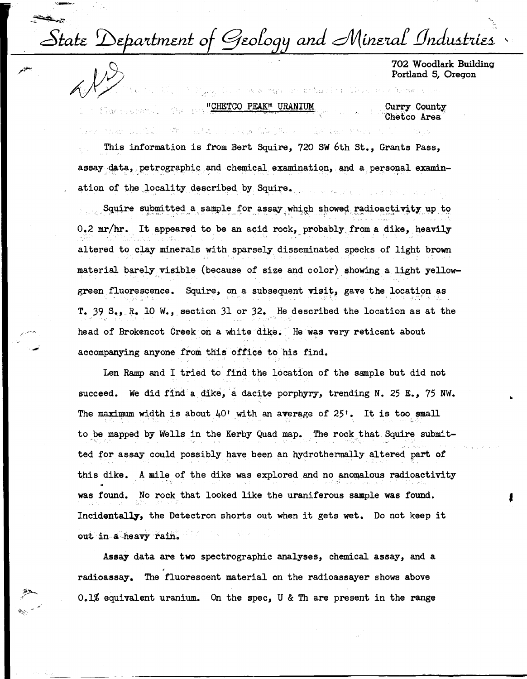State Department of Geology and Mineral Industries

702 Woodlark Building Portland 5, Oregon

The Count west research school in New Section 12028 run "CHETCO PEAK" URANIUM Curry County <sup>20</sup> เรื่องครอบครบ เ **The rea** Chetco Area

医异戊烯丙

机械 电位

This information is from Bert Squire, 720 SW 6th St., Grants Pass, assay data, petrographic and chemical examination, and a personal examination of the locality described by Squire.

1946 12: 전화 - 2014. - 1942. 1941 1942 104 - 104 104 104

Squire submitted a sample for assay which showed radioactivity up to 0.2 mr/hr. It appeared to be an acid rock, probably from a dike, heavily altered to clay minerals with sparsely disseminated specks of light brown material barely visible (because of size and color) showing a light yellowgreen fluorescence. Squire, on a subsequent visit, gave the location as T. 39 S., R. 10 W., section 31 or 32. He described the location as at the head of Brokencot Creek on a white dike. He was very reticent about accompanying anyone from this office to his find.

Len Ramp and I tried to find the location of the sample but did not succeed. We did find a dike, a dacite porphyry, trending N. 25 E., 75 NW. The maximum width is about  $40'$  with an average of  $25'$ . It is too small to be mapped by Wells in the Kerby Quad map. The rock that Squire submitted for assay could possibly have been an hydrothermally altered part of this dike. A mile of the dike was explored and no anomalous radioactivity was found. No rock that looked like the uraniferous sample was found. Incidentally, the Detectron shorts out when it gets wet. Do not keep it out in a heavy rain.

Assay data are two spectrographic analyses, chemical assay, and a radioassay. The fluorescent material on the radioassayer shows above 0.1% equivalent uranium. On the spec, U & Th are present in the range